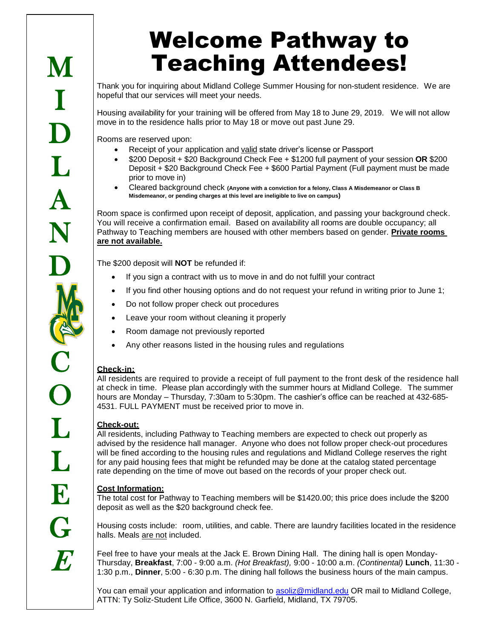# Welcome Pathway to Teaching Attendees!

Thank you for inquiring about Midland College Summer Housing for non-student residence. We are hopeful that our services will meet your needs.

Housing availability for your training will be offered from May 18 to June 29, 2019. We will not allow move in to the residence halls prior to May 18 or move out past June 29.

Rooms are reserved upon:

- Receipt of your application and valid state driver's license or Passport
- \$200 Deposit + \$20 Background Check Fee + \$1200 full payment of your session **OR** \$200 Deposit + \$20 Background Check Fee + \$600 Partial Payment (Full payment must be made prior to move in)
- Cleared background check **(Anyone with a conviction for a felony, Class A Misdemeanor or Class B Misdemeanor, or pending charges at this level are ineligible to live on campus)**

Room space is confirmed upon receipt of deposit, application, and passing your background check. You will receive a confirmation email. Based on availability all rooms are double occupancy; all Pathway to Teaching members are housed with other members based on gender. **Private rooms are not available.**

The \$200 deposit will **NOT** be refunded if:

- If you sign a contract with us to move in and do not fulfill your contract
- If you find other housing options and do not request your refund in writing prior to June 1;
- Do not follow proper check out procedures
- Leave your room without cleaning it properly
- Room damage not previously reported
- Any other reasons listed in the housing rules and regulations

#### **Check-in:**

All residents are required to provide a receipt of full payment to the front desk of the residence hall at check in time. Please plan accordingly with the summer hours at Midland College. The summer hours are Monday – Thursday, 7:30am to 5:30pm. The cashier's office can be reached at 432-685- 4531. FULL PAYMENT must be received prior to move in.

#### **Check-out:**

All residents, including Pathway to Teaching members are expected to check out properly as advised by the residence hall manager. Anyone who does not follow proper check-out procedures will be fined according to the housing rules and regulations and Midland College reserves the right for any paid housing fees that might be refunded may be done at the catalog stated percentage rate depending on the time of move out based on the records of your proper check out.

#### **Cost Information:**

The total cost for Pathway to Teaching members will be \$1420.00; this price does include the \$200 deposit as well as the \$20 background check fee.

Housing costs include: room, utilities, and cable. There are laundry facilities located in the residence halls. Meals are not included.

Feel free to have your meals at the Jack E. Brown Dining Hall. The dining hall is open Monday-Thursday, **Breakfast**, 7:00 - 9:00 a.m. *(Hot Breakfast),* 9:00 - 10:00 a.m. *(Continental)* **Lunch**, 11:30 - 1:30 p.m., **Dinner**, 5:00 - 6:30 p.m. The dining hall follows the business hours of the main campus.

You can email your application and information to [asoliz@midland.edu](mailto:asoliz@midland.edu) OR mail to Midland College, ATTN: Ty Soliz-Student Life Office, 3600 N. Garfield, Midland, TX 79705.

**M**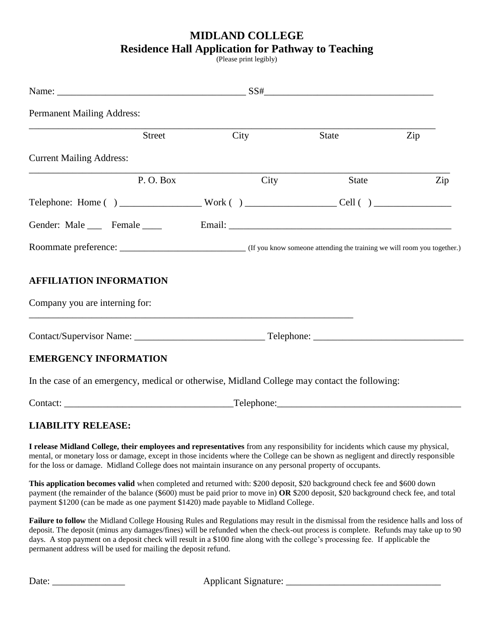## **MIDLAND COLLEGE Residence Hall Application for Pathway to Teaching**

(Please print legibly)

| <b>Permanent Mailing Address:</b>                                                                                                                                                                                                                                                                                                                                                 |  |      |                                                                                                                                                                                                                                     |     |  |
|-----------------------------------------------------------------------------------------------------------------------------------------------------------------------------------------------------------------------------------------------------------------------------------------------------------------------------------------------------------------------------------|--|------|-------------------------------------------------------------------------------------------------------------------------------------------------------------------------------------------------------------------------------------|-----|--|
| Street                                                                                                                                                                                                                                                                                                                                                                            |  | City | State                                                                                                                                                                                                                               | Zip |  |
| <b>Current Mailing Address:</b>                                                                                                                                                                                                                                                                                                                                                   |  |      |                                                                                                                                                                                                                                     |     |  |
| P.O. Box                                                                                                                                                                                                                                                                                                                                                                          |  | City | State                                                                                                                                                                                                                               | Zip |  |
| Telephone: Home () ____________________Work () _____________________Cell () ________________________                                                                                                                                                                                                                                                                              |  |      |                                                                                                                                                                                                                                     |     |  |
| Gender: Male _____ Female _____                                                                                                                                                                                                                                                                                                                                                   |  |      | Email: <u>Email:</u> All and the second second second second second second second second second second second second second second second second second second second second second second second second second second second secon |     |  |
|                                                                                                                                                                                                                                                                                                                                                                                   |  |      |                                                                                                                                                                                                                                     |     |  |
| <b>AFFILIATION INFORMATION</b><br>Company you are interning for:                                                                                                                                                                                                                                                                                                                  |  |      |                                                                                                                                                                                                                                     |     |  |
|                                                                                                                                                                                                                                                                                                                                                                                   |  |      |                                                                                                                                                                                                                                     |     |  |
| <b>EMERGENCY INFORMATION</b>                                                                                                                                                                                                                                                                                                                                                      |  |      |                                                                                                                                                                                                                                     |     |  |
| In the case of an emergency, medical or otherwise, Midland College may contact the following:                                                                                                                                                                                                                                                                                     |  |      |                                                                                                                                                                                                                                     |     |  |
|                                                                                                                                                                                                                                                                                                                                                                                   |  |      |                                                                                                                                                                                                                                     |     |  |
| <b>LIABILITY RELEASE:</b>                                                                                                                                                                                                                                                                                                                                                         |  |      |                                                                                                                                                                                                                                     |     |  |
| I release Midland College, their employees and representatives from any responsibility for incidents which cause my physical,<br>mental, or monetary loss or damage, except in those incidents where the College can be shown as negligent and directly responsible<br>for the loss or damage. Midland College does not maintain insurance on any personal property of occupants. |  |      |                                                                                                                                                                                                                                     |     |  |

**This application becomes valid** when completed and returned with: \$200 deposit, \$20 background check fee and \$600 down payment (the remainder of the balance (\$600) must be paid prior to move in) **OR** \$200 deposit, \$20 background check fee, and total payment \$1200 (can be made as one payment \$1420) made payable to Midland College.

**Failure to follow** the Midland College Housing Rules and Regulations may result in the dismissal from the residence halls and loss of deposit. The deposit (minus any damages/fines) will be refunded when the check-out process is complete. Refunds may take up to 90 days. A stop payment on a deposit check will result in a \$100 fine along with the college's processing fee. If applicable the permanent address will be used for mailing the deposit refund.

Date: \_\_\_\_\_\_\_\_\_\_\_\_\_\_\_ Applicant Signature: \_\_\_\_\_\_\_\_\_\_\_\_\_\_\_\_\_\_\_\_\_\_\_\_\_\_\_\_\_\_\_\_